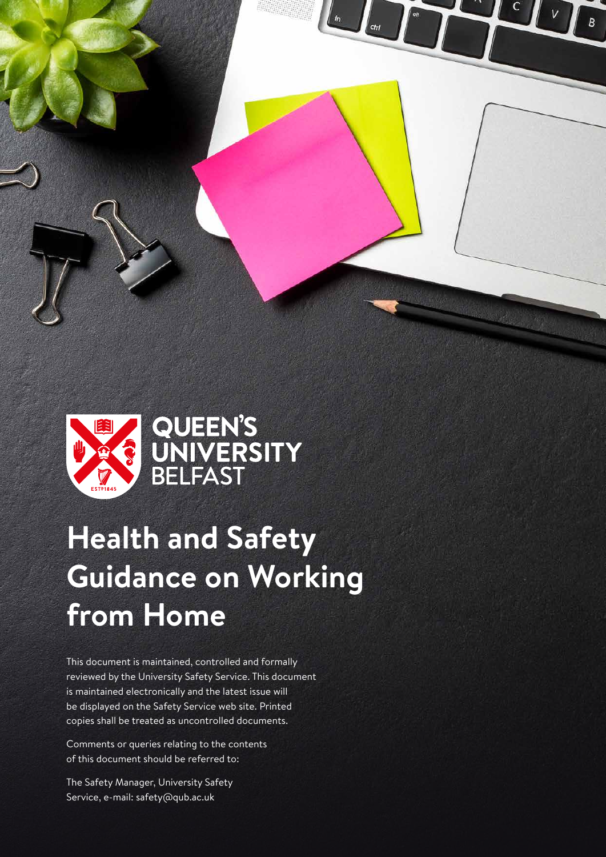



# **Health and Safety Guidance on Working from Home**

This document is maintained, controlled and formally reviewed by the University Safety Service. This document is maintained electronically and the latest issue will be displayed on the Safety Service web site. Printed copies shall be treated as uncontrolled documents.

Comments or queries relating to the contents of this document should be referred to:

The Safety Manager, University Safety Service, e-mail: [safety@qub.ac.uk](mailto:safety@qub.ac.uk)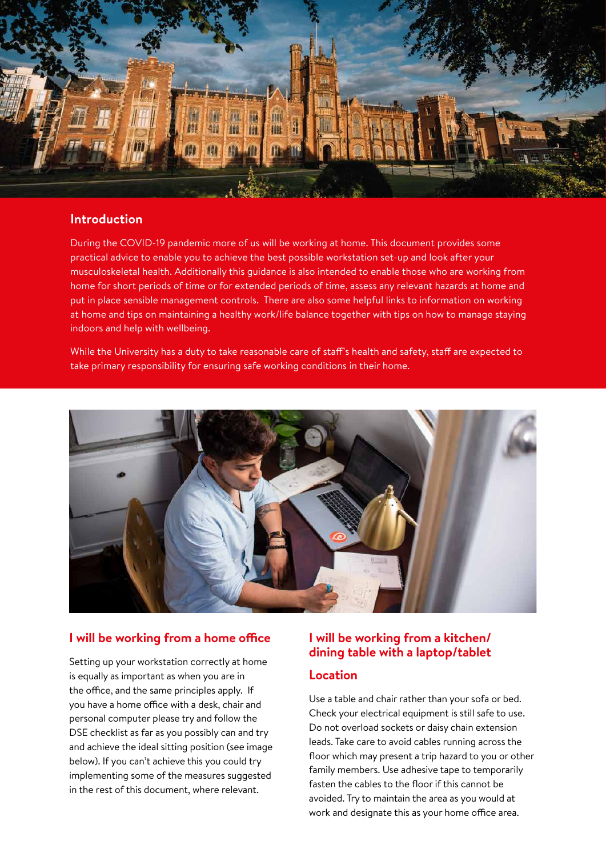

#### **Introduction**

During the COVID-19 pandemic more of us will be working at home. This document provides some practical advice to enable you to achieve the best possible workstation set-up and look after your musculoskeletal health. Additionally this guidance is also intended to enable those who are working from home for short periods of time or for extended periods of time, assess any relevant hazards at home and put in place sensible management controls. There are also some helpful links to information on working at home and tips on maintaining a healthy work/life balance together with tips on how to manage staying indoors and help with wellbeing.

While the University has a duty to take reasonable care of staff's health and safety, staff are expected to take primary responsibility for ensuring safe working conditions in their home.



#### **I will be working from a home office**

Setting up your workstation correctly at home is equally as important as when you are in the office, and the same principles apply. If you have a home office with a desk, chair and personal computer please try and follow the DSE checklist as far as you possibly can and try and achieve the ideal sitting position (see image below). If you can't achieve this you could try implementing some of the measures suggested in the rest of this document, where relevant.

#### **I will be working from a kitchen/ dining table with a laptop/tablet**

#### **Location**

Use a table and chair rather than your sofa or bed. Check your electrical equipment is still safe to use. Do not overload sockets or daisy chain extension leads. Take care to avoid cables running across the floor which may present a trip hazard to you or other family members. Use adhesive tape to temporarily fasten the cables to the floor if this cannot be avoided. Try to maintain the area as you would at work and designate this as your home office area.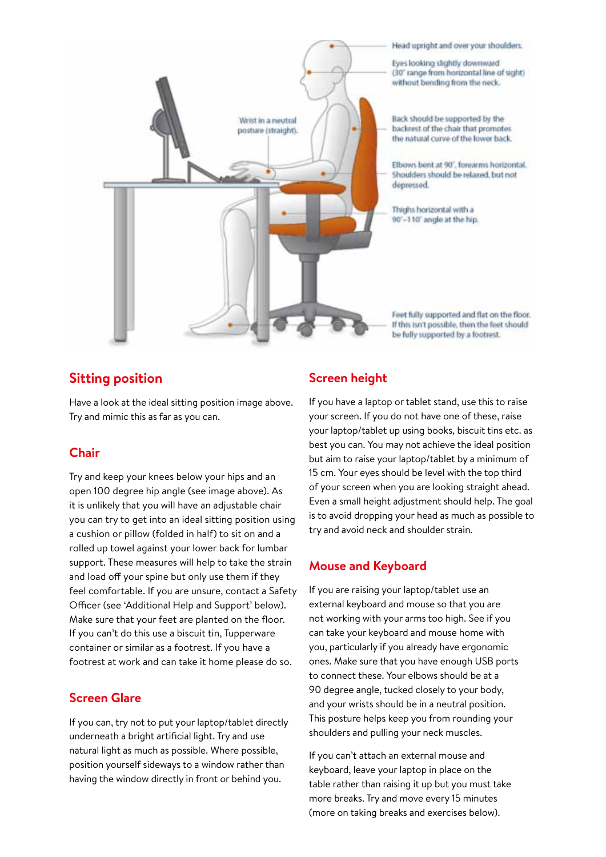

## **Sitting position**

Have a look at the ideal sitting position image above. Try and mimic this as far as you can.

## **Chair**

Try and keep your knees below your hips and an open 100 degree hip angle (see image above). As it is unlikely that you will have an adjustable chair you can try to get into an ideal sitting position using a cushion or pillow (folded in half) to sit on and a rolled up towel against your lower back for lumbar support. These measures will help to take the strain and load off your spine but only use them if they feel comfortable. If you are unsure, contact a Safety Officer (see 'Additional Help and Support' below). Make sure that your feet are planted on the floor. If you can't do this use a biscuit tin, Tupperware container or similar as a footrest. If you have a footrest at work and can take it home please do so.

## **Screen Glare**

If you can, try not to put your laptop/tablet directly underneath a bright artificial light. Try and use natural light as much as possible. Where possible, position yourself sideways to a window rather than having the window directly in front or behind you.

## **Screen height**

If you have a laptop or tablet stand, use this to raise your screen. If you do not have one of these, raise your laptop/tablet up using books, biscuit tins etc. as best you can. You may not achieve the ideal position but aim to raise your laptop/tablet by a minimum of 15 cm. Your eyes should be level with the top third of your screen when you are looking straight ahead. Even a small height adjustment should help. The goal is to avoid dropping your head as much as possible to try and avoid neck and shoulder strain.

## **Mouse and Keyboard**

If you are raising your laptop/tablet use an external keyboard and mouse so that you are not working with your arms too high. See if you can take your keyboard and mouse home with you, particularly if you already have ergonomic ones. Make sure that you have enough USB ports to connect these. Your elbows should be at a 90 degree angle, tucked closely to your body, and your wrists should be in a neutral position. This posture helps keep you from rounding your shoulders and pulling your neck muscles.

If you can't attach an external mouse and keyboard, leave your laptop in place on the table rather than raising it up but you must take more breaks. Try and move every 15 minutes (more on taking breaks and exercises below).